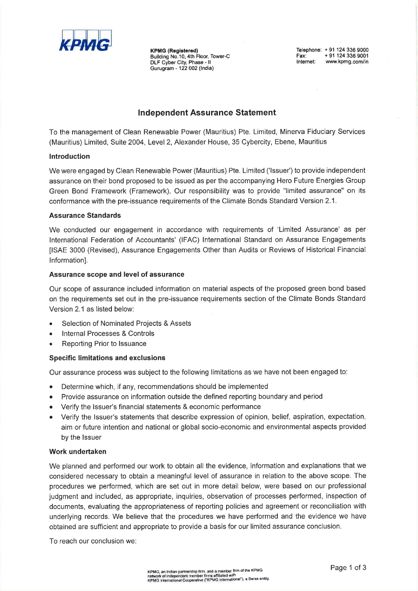

**KPMG (Registered)** Building No.10, 4th Floor, Tower-C<br>DLF Cyber City, Phase - II<br>Gurugram - 122 002 (India) Telephone: +91 124 336 9000 + 91 124 336 9001 Fax: Fax: + 91 124 336 9001<br>Internet: www.kpmg.com/in

# **Independent Assurance Statement**

To the management of Clean Renewable Power (Mauritius) Pte. Limited, Minerva Fiduciary Services (Mauritius) Limited, Suite 2004, Level 2, Alexander House, 35 Cybercity, Ebene, Mauritius

## Introduction

We were engaged by Clean Renewable Power (Mauritius) Pte. Limited ('Issuer') to provide independent assurance on their bond proposed to be issued as per the accompanying Hero Future Energies Group Green Bond Framework (Framework). Our responsibility was to provide "limited assurance" on its conformance with the pre-issuance requirements of the Climate Bonds Standard Version 2.1.

## **Assurance Standards**

We conducted our engagement in accordance with requirements of 'Limited Assurance' as per International Federation of Accountants' (IFAC) International Standard on Assurance Engagements [ISAE 3000 (Revised), Assurance Engagements Other than Audits or Reviews of Historical Financial Information].

### Assurance scope and level of assurance

Our scope of assurance included information on material aspects of the proposed green bond based on the requirements set out in the pre-issuance requirements section of the Climate Bonds Standard Version 2.1 as listed below:

- Selection of Nominated Projects & Assets
- **Internal Processes & Controls**
- Reporting Prior to Issuance  $\bullet$

### **Specific limitations and exclusions**

Our assurance process was subject to the following limitations as we have not been engaged to:

- Determine which, if any, recommendations should be implemented  $\bullet$
- Provide assurance on information outside the defined reporting boundary and period  $\bullet$
- Verify the Issuer's financial statements & economic performance  $\bullet$
- Verify the Issuer's statements that describe expression of opinion, belief, aspiration, expectation, aim or future intention and national or global socio-economic and environmental aspects provided by the Issuer

### Work undertaken

We planned and performed our work to obtain all the evidence, information and explanations that we considered necessary to obtain a meaningful level of assurance in relation to the above scope. The procedures we performed, which are set out in more detail below, were based on our professional judgment and included, as appropriate, inquiries, observation of processes performed, inspection of documents, evaluating the appropriateness of reporting policies and agreement or reconciliation with underlying records. We believe that the procedures we have performed and the evidence we have obtained are sufficient and appropriate to provide a basis for our limited assurance conclusion.

To reach our conclusion we: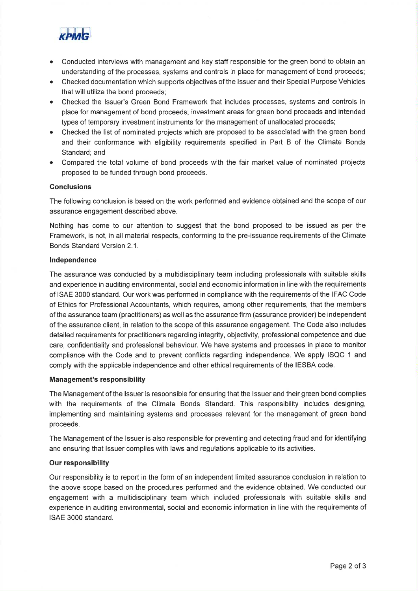

- Conducted interviews with management and key staff responsible for the green bond to obtain an understanding of the processes, systems and controls in place for management of bond proceeds;
- Checked documentation which supports objectives of the Issuer and their Special Purpose Vehicles that will utilize the bond proceeds;
- Checked the Issuer's Green Bond Framework that includes processes, systems and controls in place for management of bond proceeds; investment areas for green bond proceeds and intended types of temporary investment instruments for the management of unallocated proceeds;
- Checked the list of nominated projects which are proposed to be associated with the green bond and their conformance with eligibility requirements specified in Part B of the Climate Bonds Standard; and
- Compared the total volume of bond proceeds with the fair market value of nominated projects proposed to be funded through bond proceeds.

### **Conclusions**

The following conclusion is based on the work performed and evidence obtained and the scope of our assurance engagement described above.

Nothing has come to our attention to suggest that the bond proposed to be issued as per the Framework, is not, in all material respects, conforming to the pre-issuance requirements of the Climate Bonds Standard Version 2.1.

#### Independence

The assurance was conducted by a multidisciplinary team including professionals with suitable skills and experience in auditing environmental, social and economic information in line with the requirements of ISAE 3000 standard. Our work was performed in compliance with the requirements of the IFAC Code of Ethics for Professional Accountants, which requires, among other requirements, that the members of the assurance team (practitioners) as well as the assurance firm (assurance provider) be independent of the assurance client, in relation to the scope of this assurance engagement. The Code also includes detailed requirements for practitioners regarding integrity, objectivity, professional competence and due care, confidentiality and professional behaviour. We have systems and processes in place to monitor compliance with the Code and to prevent conflicts regarding independence. We apply ISQC 1 and comply with the applicable independence and other ethical requirements of the IESBA code.

#### **Management's responsibility**

The Management of the Issuer is responsible for ensuring that the Issuer and their green bond complies with the requirements of the Climate Bonds Standard. This responsibility includes designing, implementing and maintaining systems and processes relevant for the management of green bond proceeds.

The Management of the Issuer is also responsible for preventing and detecting fraud and for identifying and ensuring that Issuer complies with laws and regulations applicable to its activities.

#### **Our responsibility**

Our responsibility is to report in the form of an independent limited assurance conclusion in relation to the above scope based on the procedures performed and the evidence obtained. We conducted our engagement with a multidisciplinary team which included professionals with suitable skills and experience in auditing environmental, social and economic information in line with the requirements of ISAE 3000 standard.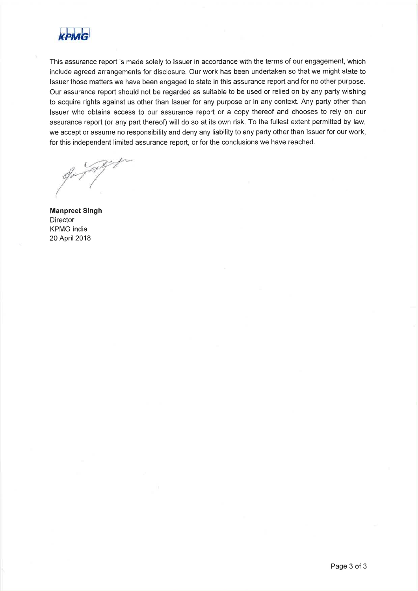

This assurance report is made solely to Issuer in accordance with the terms of our engagement, which include agreed arrangements for disclosure. Our work has been undertaken so that we might state to Issuer those matters we have been engaged to state in this assurance report and for no other purpose. Our assurance report should not be regarded as suitable to be used or relied on by any party wishing to acquire rights against us other than Issuer for any purpose or in any context. Any party other than Issuer who obtains access to our assurance report or a copy thereof and chooses to rely on our assurance report (or any part thereof) will do so at its own risk. To the fullest extent permitted by law, we accept or assume no responsibility and deny any liability to any party other than Issuer for our work, for this independent limited assurance report, or for the conclusions we have reached.

**Manpreet Singh Director KPMG** India 20 April 2018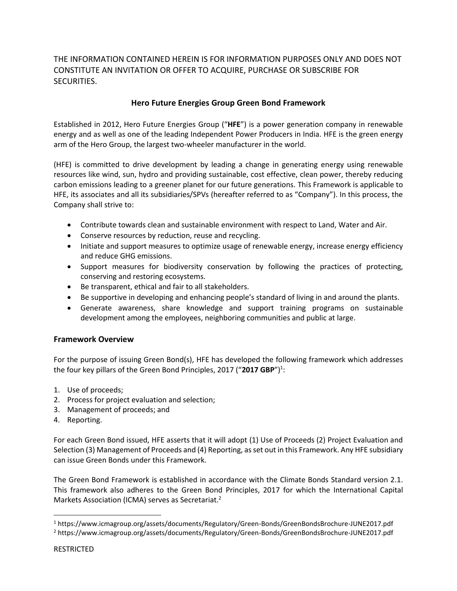THE INFORMATION CONTAINED HEREIN IS FOR INFORMATION PURPOSES ONLY AND DOES NOT CONSTITUTE AN INVITATION OR OFFER TO ACQUIRE, PURCHASE OR SUBSCRIBE FOR SECURITIES.

# **Hero Future Energies Group Green Bond Framework**

Established in 2012, Hero Future Energies Group ("**HFE**") is a power generation company in renewable energy and as well as one of the leading Independent Power Producers in India. HFE is the green energy arm of the Hero Group, the largest two-wheeler manufacturer in the world.

(HFE) is committed to drive development by leading a change in generating energy using renewable resources like wind, sun, hydro and providing sustainable, cost effective, clean power, thereby reducing carbon emissions leading to a greener planet for our future generations. This Framework is applicable to HFE, its associates and all its subsidiaries/SPVs (hereafter referred to as "Company"). In this process, the Company shall strive to:

- Contribute towards clean and sustainable environment with respect to Land, Water and Air.
- Conserve resources by reduction, reuse and recycling.
- Initiate and support measures to optimize usage of renewable energy, increase energy efficiency and reduce GHG emissions.
- Support measures for biodiversity conservation by following the practices of protecting, conserving and restoring ecosystems.
- Be transparent, ethical and fair to all stakeholders.
- Be supportive in developing and enhancing people's standard of living in and around the plants.
- Generate awareness, share knowledge and support training programs on sustainable development among the employees, neighboring communities and public at large.

# **Framework Overview**

For the purpose of issuing Green Bond(s), HFE has developed the following framework which addresses the four key pillars of the Green Bond Principles, 2017 ("2017 GBP")<sup>1</sup>:

- 1. Use of proceeds;
- 2. Process for project evaluation and selection;
- 3. Management of proceeds; and
- 4. Reporting.

For each Green Bond issued, HFE asserts that it will adopt (1) Use of Proceeds (2) Project Evaluation and Selection (3) Management of Proceeds and (4) Reporting, as set out in this Framework. Any HFE subsidiary can issue Green Bonds under this Framework.

The Green Bond Framework is established in accordance with the Climate Bonds Standard version 2.1. This framework also adheres to the Green Bond Principles, 2017 for which the International Capital Markets Association (ICMA) serves as Secretariat.<sup>2</sup>

l

<sup>&</sup>lt;sup>1</sup> https://www.icmagroup.org/assets/documents/Regulatory/Green-Bonds/GreenBondsBrochure-JUNE2017.pdf

<sup>&</sup>lt;sup>2</sup> https://www.icmagroup.org/assets/documents/Regulatory/Green-Bonds/GreenBondsBrochure-JUNE2017.pdf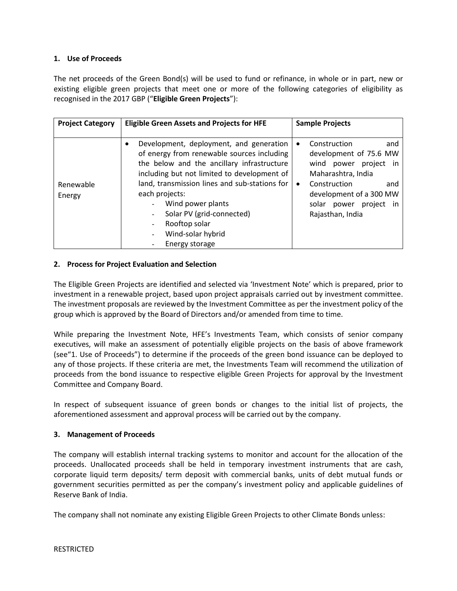# **1. Use of Proceeds**

The net proceeds of the Green Bond(s) will be used to fund or refinance, in whole or in part, new or existing eligible green projects that meet one or more of the following categories of eligibility as recognised in the 2017 GBP ("**Eligible Green Projects**"):

| <b>Project Category</b> | <b>Eligible Green Assets and Projects for HFE</b>                                                                                                                                                                                                                                                                                                                            | <b>Sample Projects</b>                                                                                                                                                                                                           |
|-------------------------|------------------------------------------------------------------------------------------------------------------------------------------------------------------------------------------------------------------------------------------------------------------------------------------------------------------------------------------------------------------------------|----------------------------------------------------------------------------------------------------------------------------------------------------------------------------------------------------------------------------------|
| Renewable<br>Energy     | Development, deployment, and generation<br>$\bullet$<br>of energy from renewable sources including<br>the below and the ancillary infrastructure<br>including but not limited to development of<br>land, transmission lines and sub-stations for<br>each projects:<br>Wind power plants<br>Solar PV (grid-connected)<br>Rooftop solar<br>Wind-solar hybrid<br>Energy storage | Construction<br>and<br>$\bullet$<br>development of 75.6 MW<br>wind power<br>project<br>in.<br>Maharashtra, India<br>Construction<br>and<br>$\bullet$<br>development of a 300 MW<br>solar power<br>project in<br>Rajasthan, India |

## **2. Process for Project Evaluation and Selection**

The Eligible Green Projects are identified and selected via 'Investment Note' which is prepared, prior to investment in a renewable project, based upon project appraisals carried out by investment committee. The investment proposals are reviewed by the Investment Committee as per the investment policy of the group which is approved by the Board of Directors and/or amended from time to time.

While preparing the Investment Note, HFE's Investments Team, which consists of senior company executives, will make an assessment of potentially eligible projects on the basis of above framework (see"1. Use of Proceeds") to determine if the proceeds of the green bond issuance can be deployed to any of those projects. If these criteria are met, the Investments Team will recommend the utilization of proceeds from the bond issuance to respective eligible Green Projects for approval by the Investment Committee and Company Board.

In respect of subsequent issuance of green bonds or changes to the initial list of projects, the aforementioned assessment and approval process will be carried out by the company.

# **3. Management of Proceeds**

The company will establish internal tracking systems to monitor and account for the allocation of the proceeds. Unallocated proceeds shall be held in temporary investment instruments that are cash, corporate liquid term deposits/ term deposit with commercial banks, units of debt mutual funds or government securities permitted as per the company's investment policy and applicable guidelines of Reserve Bank of India.

The company shall not nominate any existing Eligible Green Projects to other Climate Bonds unless: